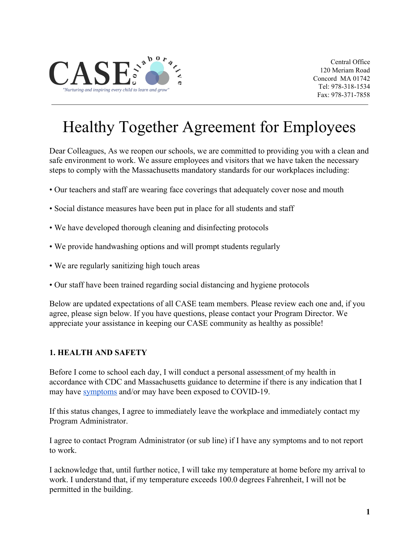

Central Office 120 Meriam Road Concord MA 01742 Tel: 978-318-1534 Fax: 978-371-7858

# Healthy Together Agreement for Employees

Dear Colleagues, As we reopen our schools, we are committed to providing you with a clean and safe environment to work. We assure employees and visitors that we have taken the necessary steps to comply with the Massachusetts mandatory standards for our workplaces including:

- Our teachers and staff are wearing face coverings that adequately cover nose and mouth
- Social distance measures have been put in place for all students and staff
- We have developed thorough cleaning and disinfecting protocols
- We provide handwashing options and will prompt students regularly
- We are regularly sanitizing high touch areas
- Our staff have been trained regarding social distancing and hygiene protocols

Below are updated expectations of all CASE team members. Please review each one and, if you agree, please sign below. If you have questions, please contact your Program Director. We appreciate your assistance in keeping our CASE community as healthy as possible!

#### **1. HEALTH AND SAFETY**

Before I come to school each day, I will conduct a personal assessmen[t](https://www.youtube.com/watch?v=7zzfdYShvQU) of my health in accordance with CDC and Massachusetts guidance to determine if there is any indication that I may have [symptoms](https://docs.google.com/document/d/1GvQ5XFzOUYLlqkPtSHCuJEQmZkqHR9iWRCFvt1N0T4w/edit) and/or may have been exposed to COVID-19.

If this status changes, I agree to immediately leave the workplace and immediately contact my Program Administrator.

I agree to contact Program Administrator (or sub line) if I have any symptoms and to not report to work.

I acknowledge that, until further notice, I will take my temperature at home before my arrival to work. I understand that, if my temperature exceeds 100.0 degrees Fahrenheit, I will not be permitted in the building.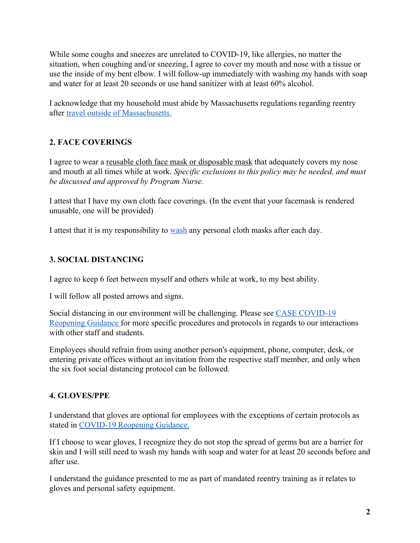While some coughs and sneezes are unrelated to COVID-19, like allergies, no matter the situation, when coughing and/or sneezing, I agree to cover my mouth and nose with a tissue or use the inside of my bent elbow. I will follow-up immediately with washing my hands with soap and water for at least 20 seconds or use hand sanitizer with at least 60% alcohol.

I acknowledge that my household must abide by Massachusetts regulations regarding reentry after [travel outside of Massachusetts.](https://www.mass.gov/info-details/travel-information-related-to-covid-19#travel-to-massachusetts-)

## **2. FACE COVERINGS**

I agree to wear a reusable cloth face mask or disposable mask that adequately covers my nose and mouth at all times while at work. *Specific exclusions to this policy may be needed, and must be discussed and approved by Program Nurse.*

I attest that I have my own cloth face coverings. (In the event that your facemask is rendered unusable, one will be provided)

I attest that it is my responsibility to [wash](https://www.cdc.gov/coronavirus/2019-ncov/prevent-getting-sick/how-to-wash-cloth-face-coverings.html) any personal cloth masks after each day.

## **3. SOCIAL DISTANCING**

I agree to keep 6 feet between myself and others while at work, to my best ability.

I will follow all posted arrows and signs.

Social distancing in our environment will be challenging. Please see [CASE COVID-19](https://docs.google.com/document/d/1Y792Ig1HPVzlxXtl0H7pW0FF3ArufDN6plmbbw9t8jE/edit#heading=h.6xhd5v1opq8h) [Reopening Guidance f](https://docs.google.com/document/d/1Y792Ig1HPVzlxXtl0H7pW0FF3ArufDN6plmbbw9t8jE/edit#heading=h.6xhd5v1opq8h)or more specific procedures and protocols in regards to our interactions with other staff and students.

Employees should refrain from using another person's equipment, phone, computer, desk, or entering private offices without an invitation from the respective staff member, and only when the six foot social distancing protocol can be followed.

## **4. GLOVES/PPE**

I understand that gloves are optional for employees with the exceptions of certain protocols as stated in [COVID-19 Reopening Guidance.](https://docs.google.com/document/d/1Y792Ig1HPVzlxXtl0H7pW0FF3ArufDN6plmbbw9t8jE/edit#)

If I choose to wear gloves, I recognize they do not stop the spread of germs but are a barrier for skin and I will still need to wash my hands with soap and water for at least 20 seconds before and after use.

I understand the guidance presented to me as part of mandated reentry training as it relates to gloves and personal safety equipment.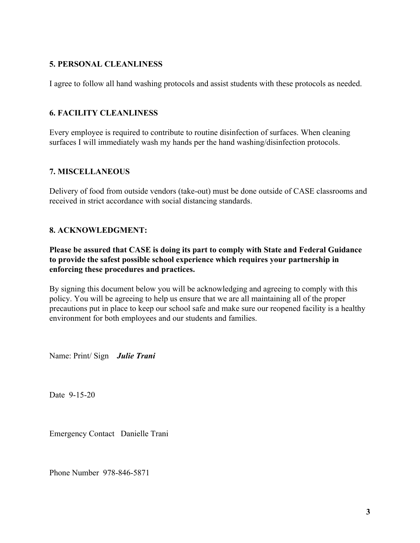## **5. PERSONAL CLEANLINESS**

I agree to follow all hand washing protocols and assist students with these protocols as needed.

### **6. FACILITY CLEANLINESS**

Every employee is required to contribute to routine disinfection of surfaces. When cleaning surfaces I will immediately wash my hands per the hand washing/disinfection protocols.

#### **7. MISCELLANEOUS**

Delivery of food from outside vendors (take-out) must be done outside of CASE classrooms and received in strict accordance with social distancing standards.

#### **8. ACKNOWLEDGMENT:**

**Please be assured that CASE is doing its part to comply with State and Federal Guidance to provide the safest possible school experience which requires your partnership in enforcing these procedures and practices.**

By signing this document below you will be acknowledging and agreeing to comply with this policy. You will be agreeing to help us ensure that we are all maintaining all of the proper precautions put in place to keep our school safe and make sure our reopened facility is a healthy environment for both employees and our students and families.

Name: Print/ Sign *Julie Trani*

Date 9-15-20

Emergency Contact Danielle Trani

Phone Number 978-846-5871